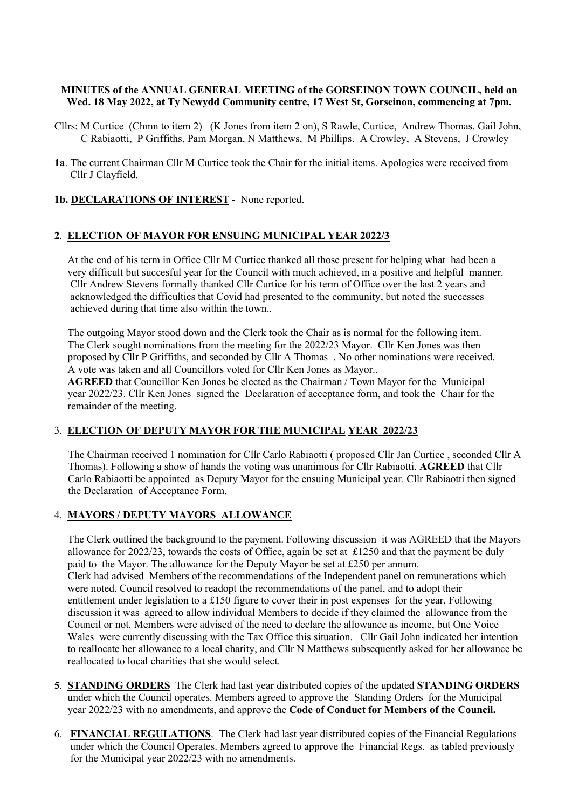#### MINUTES of the ANNUAL GENERAL MEETING of the GORSEINON TOWN COUNCIL, held on Wed. 18 May 2022, at Ty Newydd Community centre, 17 West St, Gorseinon, commencing at 7pm.

- Cllrs; M Curtice (Chmn to item 2) (K Jones from item 2 on), S Rawle, Curtice, Andrew Thomas, Gail John, C Rabiaotti, P Griffiths, Pam Morgan, N Matthews, M Phillips. A Crowley, A Stevens, J Crowley
- 1a. The current Chairman Cllr M Curtice took the Chair for the initial items. Apologies were received from Cllr J Clayfield.

# 1b. DECLARATIONS OF INTEREST - None reported.

## 2. ELECTION OF MAYOR FOR ENSUING MUNICIPAL YEAR 2022/3

 At the end of his term in Office Cllr M Curtice thanked all those present for helping what had been a very difficult but succesful year for the Council with much achieved, in a positive and helpful manner. Cllr Andrew Stevens formally thanked Cllr Curtice for his term of Office over the last 2 years and acknowledged the difficulties that Covid had presented to the community, but noted the successes achieved during that time also within the town..

 The outgoing Mayor stood down and the Clerk took the Chair as is normal for the following item. The Clerk sought nominations from the meeting for the 2022/23 Mayor. Cllr Ken Jones was then proposed by Cllr P Griffiths, and seconded by Cllr A Thomas . No other nominations were received. A vote was taken and all Councillors voted for Cllr Ken Jones as Mayor..

 AGREED that Councillor Ken Jones be elected as the Chairman / Town Mayor for the Municipal year 2022/23. Cllr Ken Jones signed the Declaration of acceptance form, and took the Chair for the remainder of the meeting.

#### 3. ELECTION OF DEPUTY MAYOR FOR THE MUNICIPAL YEAR 2022/23

The Chairman received 1 nomination for Cllr Carlo Rabiaotti ( proposed Cllr Jan Curtice , seconded Cllr A Thomas). Following a show of hands the voting was unanimous for Cllr Rabiaotti. AGREED that Cllr Carlo Rabiaotti be appointed as Deputy Mayor for the ensuing Municipal year. Cllr Rabiaotti then signed the Declaration of Acceptance Form.

#### 4. MAYORS / DEPUTY MAYORS ALLOWANCE

 The Clerk outlined the background to the payment. Following discussion it was AGREED that the Mayors allowance for 2022/23, towards the costs of Office, again be set at £1250 and that the payment be duly paid to the Mayor. The allowance for the Deputy Mayor be set at £250 per annum. Clerk had advised Members of the recommendations of the Independent panel on remunerations which were noted. Council resolved to readopt the recommendations of the panel, and to adopt their entitlement under legislation to a £150 figure to cover their in post expenses for the year. Following discussion it was agreed to allow individual Members to decide if they claimed the allowance from the Council or not. Members were advised of the need to declare the allowance as income, but One Voice Wales were currently discussing with the Tax Office this situation. Cllr Gail John indicated her intention to reallocate her allowance to a local charity, and Cllr N Matthews subsequently asked for her allowance be reallocated to local charities that she would select.

- 5. STANDING ORDERS The Clerk had last year distributed copies of the updated STANDING ORDERS under which the Council operates. Members agreed to approve the Standing Orders for the Municipal year 2022/23 with no amendments, and approve the Code of Conduct for Members of the Council.
- 6. FINANCIAL REGULATIONS. The Clerk had last year distributed copies of the Financial Regulations under which the Council Operates. Members agreed to approve the Financial Regs. as tabled previously for the Municipal year 2022/23 with no amendments.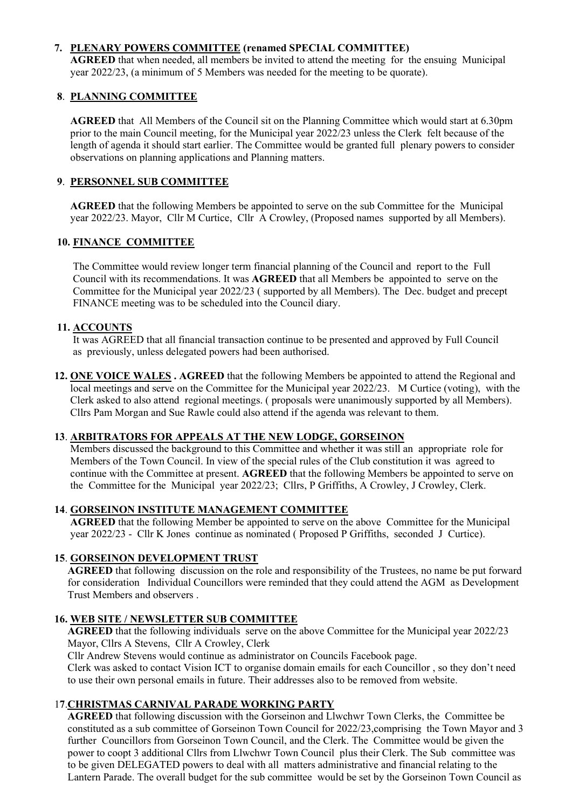# 7. PLENARY POWERS COMMITTEE (renamed SPECIAL COMMITTEE)

 AGREED that when needed, all members be invited to attend the meeting for the ensuing Municipal year 2022/23, (a minimum of 5 Members was needed for the meeting to be quorate).

# 8. PLANNING COMMITTEE

 AGREED that All Members of the Council sit on the Planning Committee which would start at 6.30pm prior to the main Council meeting, for the Municipal year 2022/23 unless the Clerk felt because of the length of agenda it should start earlier. The Committee would be granted full plenary powers to consider observations on planning applications and Planning matters.

# 9. PERSONNEL SUB COMMITTEE

 AGREED that the following Members be appointed to serve on the sub Committee for the Municipal year 2022/23. Mayor, Cllr M Curtice, Cllr A Crowley, (Proposed names supported by all Members).

# 10. FINANCE COMMITTEE

 The Committee would review longer term financial planning of the Council and report to the Full Council with its recommendations. It was AGREED that all Members be appointed to serve on the Committee for the Municipal year 2022/23 ( supported by all Members). The Dec. budget and precept FINANCE meeting was to be scheduled into the Council diary.

# 11. ACCOUNTS

 It was AGREED that all financial transaction continue to be presented and approved by Full Council as previously, unless delegated powers had been authorised.

12. ONE VOICE WALES . AGREED that the following Members be appointed to attend the Regional and local meetings and serve on the Committee for the Municipal year 2022/23. M Curtice (voting), with the Clerk asked to also attend regional meetings. ( proposals were unanimously supported by all Members). Cllrs Pam Morgan and Sue Rawle could also attend if the agenda was relevant to them.

# 13. ARBITRATORS FOR APPEALS AT THE NEW LODGE, GORSEINON

 Members discussed the background to this Committee and whether it was still an appropriate role for Members of the Town Council. In view of the special rules of the Club constitution it was agreed to continue with the Committee at present. AGREED that the following Members be appointed to serve on the Committee for the Municipal year 2022/23; Cllrs, P Griffiths, A Crowley, J Crowley, Clerk.

# 14. GORSEINON INSTITUTE MANAGEMENT COMMITTEE

 AGREED that the following Member be appointed to serve on the above Committee for the Municipal year 2022/23 - Cllr K Jones continue as nominated ( Proposed P Griffiths, seconded J Curtice).

# 15. GORSEINON DEVELOPMENT TRUST

 AGREED that following discussion on the role and responsibility of the Trustees, no name be put forward for consideration Individual Councillors were reminded that they could attend the AGM as Development Trust Members and observers .

# 16. WEB SITE / NEWSLETTER SUB COMMITTEE

 AGREED that the following individuals serve on the above Committee for the Municipal year 2022/23 Mayor, Cllrs A Stevens, Cllr A Crowley, Clerk

Cllr Andrew Stevens would continue as administrator on Councils Facebook page.

 Clerk was asked to contact Vision ICT to organise domain emails for each Councillor , so they don't need to use their own personal emails in future. Their addresses also to be removed from website.

# 17.CHRISTMAS CARNIVAL PARADE WORKING PARTY

 AGREED that following discussion with the Gorseinon and Llwchwr Town Clerks, the Committee be constituted as a sub committee of Gorseinon Town Council for 2022/23,comprising the Town Mayor and 3 further Councillors from Gorseinon Town Council, and the Clerk. The Committee would be given the power to coopt 3 additional Cllrs from Llwchwr Town Council plus their Clerk. The Sub committee was to be given DELEGATED powers to deal with all matters administrative and financial relating to the Lantern Parade. The overall budget for the sub committee would be set by the Gorseinon Town Council as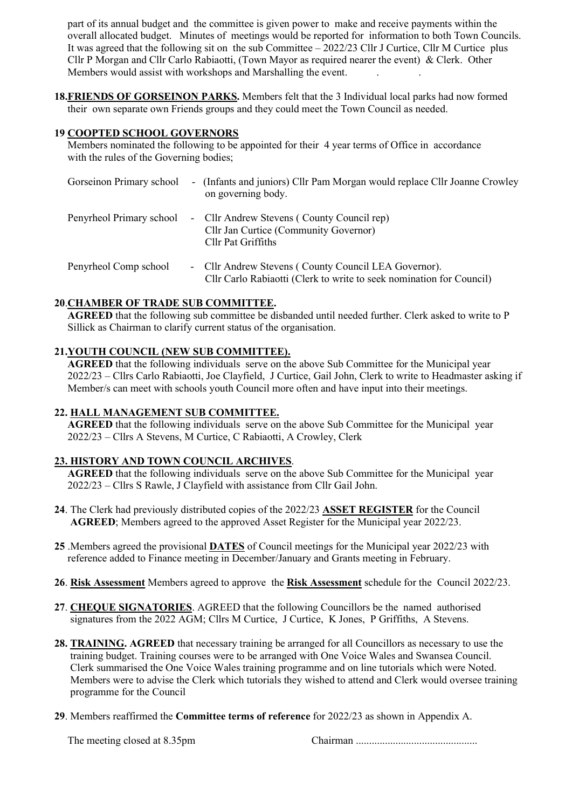part of its annual budget and the committee is given power to make and receive payments within the overall allocated budget. Minutes of meetings would be reported for information to both Town Councils. It was agreed that the following sit on the sub Committee  $-2022/23$  Cllr J Curtice, Cllr M Curtice plus Cllr P Morgan and Cllr Carlo Rabiaotti, (Town Mayor as required nearer the event) & Clerk. Other Members would assist with workshops and Marshalling the event.

18.FRIENDS OF GORSEINON PARKS. Members felt that the 3 Individual local parks had now formed their own separate own Friends groups and they could meet the Town Council as needed.

#### 19 COOPTED SCHOOL GOVERNORS

 Members nominated the following to be appointed for their 4 year terms of Office in accordance with the rules of the Governing bodies;

| Gorseinon Primary school | - (Infants and juniors) Cllr Pam Morgan would replace Cllr Joanne Crowley<br>on governing body.                              |
|--------------------------|------------------------------------------------------------------------------------------------------------------------------|
| Penyrheol Primary school | - Cllr Andrew Stevens (County Council rep)<br>Cllr Jan Curtice (Community Governor)<br>Cllr Pat Griffiths                    |
| Penyrheol Comp school    | - Cllr Andrew Stevens (County Council LEA Governor).<br>Cllr Carlo Rabiaotti (Clerk to write to seek nomination for Council) |

## 20.CHAMBER OF TRADE SUB COMMITTEE.

 AGREED that the following sub committee be disbanded until needed further. Clerk asked to write to P Sillick as Chairman to clarify current status of the organisation.

#### 21.YOUTH COUNCIL (NEW SUB COMMITTEE).

 AGREED that the following individuals serve on the above Sub Committee for the Municipal year 2022/23 – Cllrs Carlo Rabiaotti, Joe Clayfield, J Curtice, Gail John, Clerk to write to Headmaster asking if Member/s can meet with schools youth Council more often and have input into their meetings.

#### 22. HALL MANAGEMENT SUB COMMITTEE.

 AGREED that the following individuals serve on the above Sub Committee for the Municipal year 2022/23 – Cllrs A Stevens, M Curtice, C Rabiaotti, A Crowley, Clerk

#### 23. HISTORY AND TOWN COUNCIL ARCHIVES.

 AGREED that the following individuals serve on the above Sub Committee for the Municipal year 2022/23 – Cllrs S Rawle, J Clayfield with assistance from Cllr Gail John.

- 24. The Clerk had previously distributed copies of the 2022/23 ASSET REGISTER for the Council AGREED; Members agreed to the approved Asset Register for the Municipal year 2022/23.
- 25 .Members agreed the provisional DATES of Council meetings for the Municipal year 2022/23 with reference added to Finance meeting in December/January and Grants meeting in February.
- 26. Risk Assessment Members agreed to approve the Risk Assessment schedule for the Council 2022/23.
- 27. CHEQUE SIGNATORIES. AGREED that the following Councillors be the named authorised signatures from the 2022 AGM; Cllrs M Curtice, J Curtice, K Jones, P Griffiths, A Stevens.
- 28. TRAINING. AGREED that necessary training be arranged for all Councillors as necessary to use the training budget. Training courses were to be arranged with One Voice Wales and Swansea Council. Clerk summarised the One Voice Wales training programme and on line tutorials which were Noted. Members were to advise the Clerk which tutorials they wished to attend and Clerk would oversee training programme for the Council
- 29. Members reaffirmed the Committee terms of reference for 2022/23 as shown in Appendix A.

The meeting closed at 8.35pm Chairman ..............................................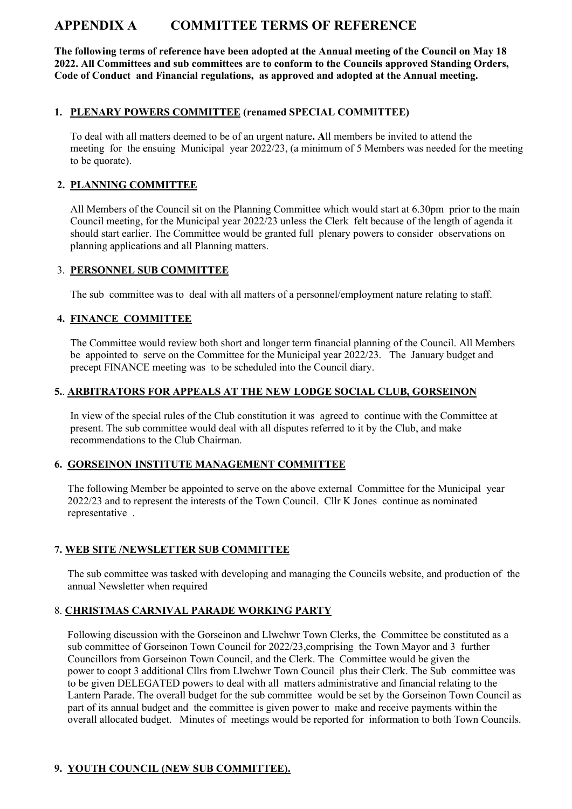# APPENDIX A COMMITTEE TERMS OF REFERENCE

The following terms of reference have been adopted at the Annual meeting of the Council on May 18 2022. All Committees and sub committees are to conform to the Councils approved Standing Orders, Code of Conduct and Financial regulations, as approved and adopted at the Annual meeting.

## 1. PLENARY POWERS COMMITTEE (renamed SPECIAL COMMITTEE)

 To deal with all matters deemed to be of an urgent nature. All members be invited to attend the meeting for the ensuing Municipal year 2022/23, (a minimum of 5 Members was needed for the meeting to be quorate).

## 2. PLANNING COMMITTEE

 All Members of the Council sit on the Planning Committee which would start at 6.30pm prior to the main Council meeting, for the Municipal year 2022/23 unless the Clerk felt because of the length of agenda it should start earlier. The Committee would be granted full plenary powers to consider observations on planning applications and all Planning matters.

## 3. PERSONNEL SUB COMMITTEE

The sub committee was to deal with all matters of a personnel/employment nature relating to staff.

## 4. FINANCE COMMITTEE

 The Committee would review both short and longer term financial planning of the Council. All Members be appointed to serve on the Committee for the Municipal year 2022/23. The January budget and precept FINANCE meeting was to be scheduled into the Council diary.

## 5.. ARBITRATORS FOR APPEALS AT THE NEW LODGE SOCIAL CLUB, GORSEINON

 In view of the special rules of the Club constitution it was agreed to continue with the Committee at present. The sub committee would deal with all disputes referred to it by the Club, and make recommendations to the Club Chairman.

## 6. GORSEINON INSTITUTE MANAGEMENT COMMITTEE

 The following Member be appointed to serve on the above external Committee for the Municipal year 2022/23 and to represent the interests of the Town Council. Cllr K Jones continue as nominated representative .

# 7. WEB SITE /NEWSLETTER SUB COMMITTEE

 The sub committee was tasked with developing and managing the Councils website, and production of the annual Newsletter when required

# 8. CHRISTMAS CARNIVAL PARADE WORKING PARTY

 Following discussion with the Gorseinon and Llwchwr Town Clerks, the Committee be constituted as a sub committee of Gorseinon Town Council for 2022/23,comprising the Town Mayor and 3 further Councillors from Gorseinon Town Council, and the Clerk. The Committee would be given the power to coopt 3 additional Cllrs from Llwchwr Town Council plus their Clerk. The Sub committee was to be given DELEGATED powers to deal with all matters administrative and financial relating to the Lantern Parade. The overall budget for the sub committee would be set by the Gorseinon Town Council as part of its annual budget and the committee is given power to make and receive payments within the overall allocated budget. Minutes of meetings would be reported for information to both Town Councils.

# 9. YOUTH COUNCIL (NEW SUB COMMITTEE).